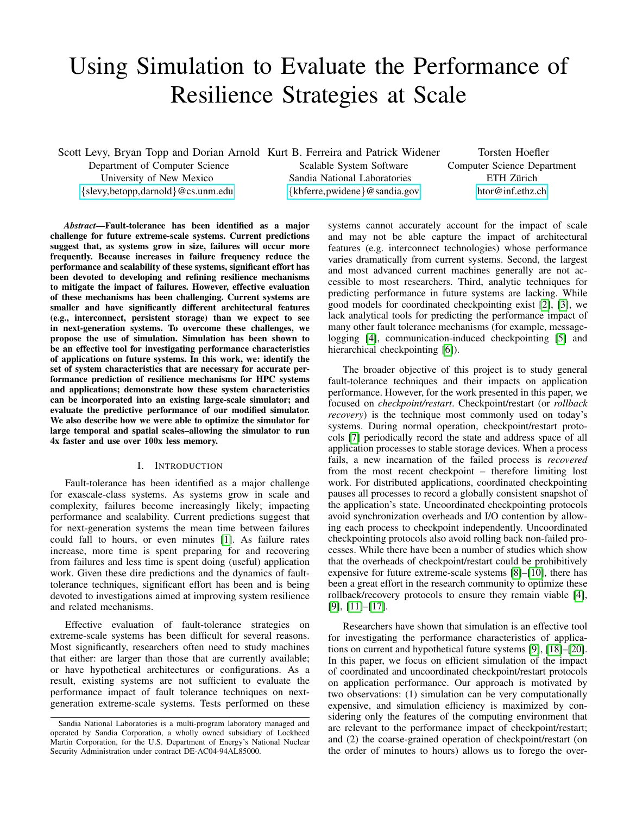# Using Simulation to Evaluate the Performance of Resilience Strategies at Scale

Scott Levy, Bryan Topp and Dorian Arnold Kurt B. Ferreira and Patrick Widener Department of Computer Science University of New Mexico {[slevy,betopp,darnold]({slevy , betopp , darnold }@cs.unm.edu)}@cs.unm.edu

Scalable System Software Sandia National Laboratories {[kbferre,pwidene]({kbferre , pwidene}@sandia.gov)}@sandia.gov

Torsten Hoefler Computer Science Department ETH Zürich <htor@inf.ethz.ch>

*Abstract*—Fault-tolerance has been identified as a major challenge for future extreme-scale systems. Current predictions suggest that, as systems grow in size, failures will occur more frequently. Because increases in failure frequency reduce the performance and scalability of these systems, significant effort has been devoted to developing and refining resilience mechanisms to mitigate the impact of failures. However, effective evaluation of these mechanisms has been challenging. Current systems are smaller and have significantly different architectural features (e.g., interconnect, persistent storage) than we expect to see in next-generation systems. To overcome these challenges, we propose the use of simulation. Simulation has been shown to be an effective tool for investigating performance characteristics of applications on future systems. In this work, we: identify the set of system characteristics that are necessary for accurate performance prediction of resilience mechanisms for HPC systems and applications; demonstrate how these system characteristics can be incorporated into an existing large-scale simulator; and evaluate the predictive performance of our modified simulator. We also describe how we were able to optimize the simulator for large temporal and spatial scales–allowing the simulator to run 4x faster and use over 100x less memory.

## I. INTRODUCTION

Fault-tolerance has been identified as a major challenge for exascale-class systems. As systems grow in scale and complexity, failures become increasingly likely; impacting performance and scalability. Current predictions suggest that for next-generation systems the mean time between failures could fall to hours, or even minutes [\[1\]](#page-8-0). As failure rates increase, more time is spent preparing for and recovering from failures and less time is spent doing (useful) application work. Given these dire predictions and the dynamics of faulttolerance techniques, significant effort has been and is being devoted to investigations aimed at improving system resilience and related mechanisms.

Effective evaluation of fault-tolerance strategies on extreme-scale systems has been difficult for several reasons. Most significantly, researchers often need to study machines that either: are larger than those that are currently available; or have hypothetical architectures or configurations. As a result, existing systems are not sufficient to evaluate the performance impact of fault tolerance techniques on nextgeneration extreme-scale systems. Tests performed on these systems cannot accurately account for the impact of scale and may not be able capture the impact of architectural features (e.g. interconnect technologies) whose performance varies dramatically from current systems. Second, the largest and most advanced current machines generally are not accessible to most researchers. Third, analytic techniques for predicting performance in future systems are lacking. While good models for coordinated checkpointing exist [\[2\]](#page-8-1), [\[3\]](#page-8-2), we lack analytical tools for predicting the performance impact of many other fault tolerance mechanisms (for example, messagelogging [\[4\]](#page-8-3), communication-induced checkpointing [\[5\]](#page-8-4) and hierarchical checkpointing [\[6\]](#page-8-5)).

The broader objective of this project is to study general fault-tolerance techniques and their impacts on application performance. However, for the work presented in this paper, we focused on *checkpoint/restart*. Checkpoint/restart (or *rollback recovery*) is the technique most commonly used on today's systems. During normal operation, checkpoint/restart protocols [\[7\]](#page-9-0) periodically record the state and address space of all application processes to stable storage devices. When a process fails, a new incarnation of the failed process is *recovered* from the most recent checkpoint – therefore limiting lost work. For distributed applications, coordinated checkpointing pauses all processes to record a globally consistent snapshot of the application's state. Uncoordinated checkpointing protocols avoid synchronization overheads and I/O contention by allowing each process to checkpoint independently. Uncoordinated checkpointing protocols also avoid rolling back non-failed processes. While there have been a number of studies which show that the overheads of checkpoint/restart could be prohibitively expensive for future extreme-scale systems [\[8\]](#page-9-1)–[\[10\]](#page-9-2), there has been a great effort in the research community to optimize these rollback/recovery protocols to ensure they remain viable [\[4\]](#page-8-3), [\[9\]](#page-9-3), [\[11\]](#page-9-4)–[\[17\]](#page-9-5).

Researchers have shown that simulation is an effective tool for investigating the performance characteristics of applications on current and hypothetical future systems [\[9\]](#page-9-3), [\[18\]](#page-9-6)–[\[20\]](#page-9-7). In this paper, we focus on efficient simulation of the impact of coordinated and uncoordinated checkpoint/restart protocols on application performance. Our approach is motivated by two observations: (1) simulation can be very computationally expensive, and simulation efficiency is maximized by considering only the features of the computing environment that are relevant to the performance impact of checkpoint/restart; and (2) the coarse-grained operation of checkpoint/restart (on the order of minutes to hours) allows us to forego the over-

Sandia National Laboratories is a multi-program laboratory managed and operated by Sandia Corporation, a wholly owned subsidiary of Lockheed Martin Corporation, for the U.S. Department of Energy's National Nuclear Security Administration under contract DE-AC04-94AL85000.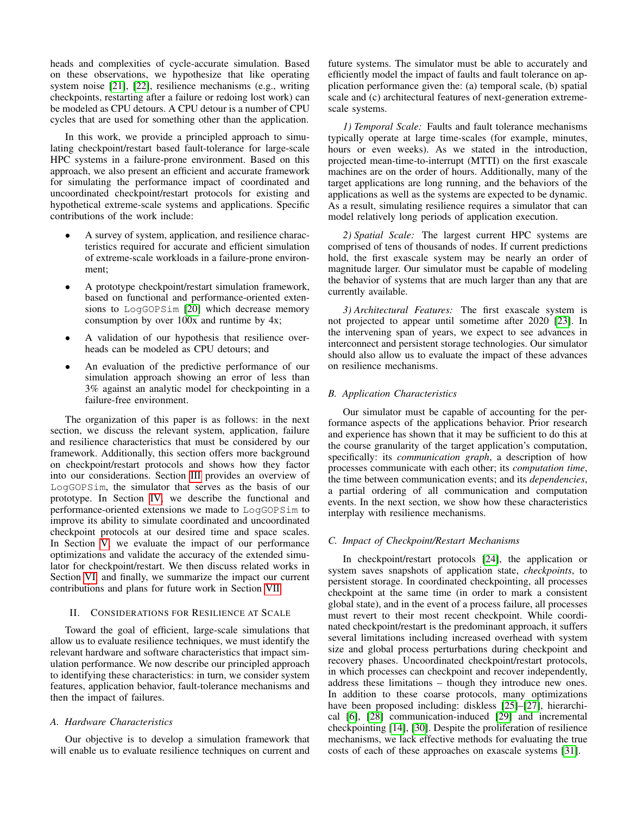heads and complexities of cycle-accurate simulation. Based on these observations, we hypothesize that like operating system noise [\[21\]](#page-9-8), [\[22\]](#page-9-9), resilience mechanisms (e.g., writing checkpoints, restarting after a failure or redoing lost work) can be modeled as CPU detours. A CPU detour is a number of CPU cycles that are used for something other than the application.

In this work, we provide a principled approach to simulating checkpoint/restart based fault-tolerance for large-scale HPC systems in a failure-prone environment. Based on this approach, we also present an efficient and accurate framework for simulating the performance impact of coordinated and uncoordinated checkpoint/restart protocols for existing and hypothetical extreme-scale systems and applications. Specific contributions of the work include:

- A survey of system, application, and resilience characteristics required for accurate and efficient simulation of extreme-scale workloads in a failure-prone environment;
- A prototype checkpoint/restart simulation framework, based on functional and performance-oriented extensions to LogGOPSim [\[20\]](#page-9-7) which decrease memory consumption by over 100x and runtime by 4x;
- A validation of our hypothesis that resilience overheads can be modeled as CPU detours; and
- An evaluation of the predictive performance of our simulation approach showing an error of less than 3% against an analytic model for checkpointing in a failure-free environment.

The organization of this paper is as follows: in the next section, we discuss the relevant system, application, failure and resilience characteristics that must be considered by our framework. Additionally, this section offers more background on checkpoint/restart protocols and shows how they factor into our considerations. Section [III](#page-2-0) provides an overview of LogGOPSim, the simulator that serves as the basis of our prototype. In Section [IV,](#page-3-0) we describe the functional and performance-oriented extensions we made to LogGOPSim to improve its ability to simulate coordinated and uncoordinated checkpoint protocols at our desired time and space scales. In Section [V,](#page-4-0) we evaluate the impact of our performance optimizations and validate the accuracy of the extended simulator for checkpoint/restart. We then discuss related works in Section [VI,](#page-7-0) and finally, we summarize the impact our current contributions and plans for future work in Section [VII.](#page-8-6)

#### <span id="page-1-0"></span>II. CONSIDERATIONS FOR RESILIENCE AT SCALE

Toward the goal of efficient, large-scale simulations that allow us to evaluate resilience techniques, we must identify the relevant hardware and software characteristics that impact simulation performance. We now describe our principled approach to identifying these characteristics: in turn, we consider system features, application behavior, fault-tolerance mechanisms and then the impact of failures.

#### *A. Hardware Characteristics*

Our objective is to develop a simulation framework that will enable us to evaluate resilience techniques on current and future systems. The simulator must be able to accurately and efficiently model the impact of faults and fault tolerance on application performance given the: (a) temporal scale, (b) spatial scale and (c) architectural features of next-generation extremescale systems.

*1) Temporal Scale:* Faults and fault tolerance mechanisms typically operate at large time-scales (for example, minutes, hours or even weeks). As we stated in the introduction, projected mean-time-to-interrupt (MTTI) on the first exascale machines are on the order of hours. Additionally, many of the target applications are long running, and the behaviors of the applications as well as the systems are expected to be dynamic. As a result, simulating resilience requires a simulator that can model relatively long periods of application execution.

*2) Spatial Scale:* The largest current HPC systems are comprised of tens of thousands of nodes. If current predictions hold, the first exascale system may be nearly an order of magnitude larger. Our simulator must be capable of modeling the behavior of systems that are much larger than any that are currently available.

*3) Architectural Features:* The first exascale system is not projected to appear until sometime after 2020 [\[23\]](#page-9-10). In the intervening span of years, we expect to see advances in interconnect and persistent storage technologies. Our simulator should also allow us to evaluate the impact of these advances on resilience mechanisms.

## *B. Application Characteristics*

Our simulator must be capable of accounting for the performance aspects of the applications behavior. Prior research and experience has shown that it may be sufficient to do this at the course granularity of the target application's computation, specifically: its *communication graph*, a description of how processes communicate with each other; its *computation time*, the time between communication events; and its *dependencies*, a partial ordering of all communication and computation events. In the next section, we show how these characteristics interplay with resilience mechanisms.

#### *C. Impact of Checkpoint/Restart Mechanisms*

In checkpoint/restart protocols [\[24\]](#page-9-11), the application or system saves snapshots of application state, *checkpoints*, to persistent storage. In coordinated checkpointing, all processes checkpoint at the same time (in order to mark a consistent global state), and in the event of a process failure, all processes must revert to their most recent checkpoint. While coordinated checkpoint/restart is the predominant approach, it suffers several limitations including increased overhead with system size and global process perturbations during checkpoint and recovery phases. Uncoordinated checkpoint/restart protocols, in which processes can checkpoint and recover independently, address these limitations – though they introduce new ones. In addition to these coarse protocols, many optimizations have been proposed including: diskless [\[25\]](#page-9-12)–[\[27\]](#page-9-13), hierarchical [\[6\]](#page-8-5), [\[28\]](#page-9-14) communication-induced [\[29\]](#page-9-15) and incremental checkpointing [\[14\]](#page-9-16), [\[30\]](#page-9-17). Despite the proliferation of resilience mechanisms, we lack effective methods for evaluating the true costs of each of these approaches on exascale systems [\[31\]](#page-9-18).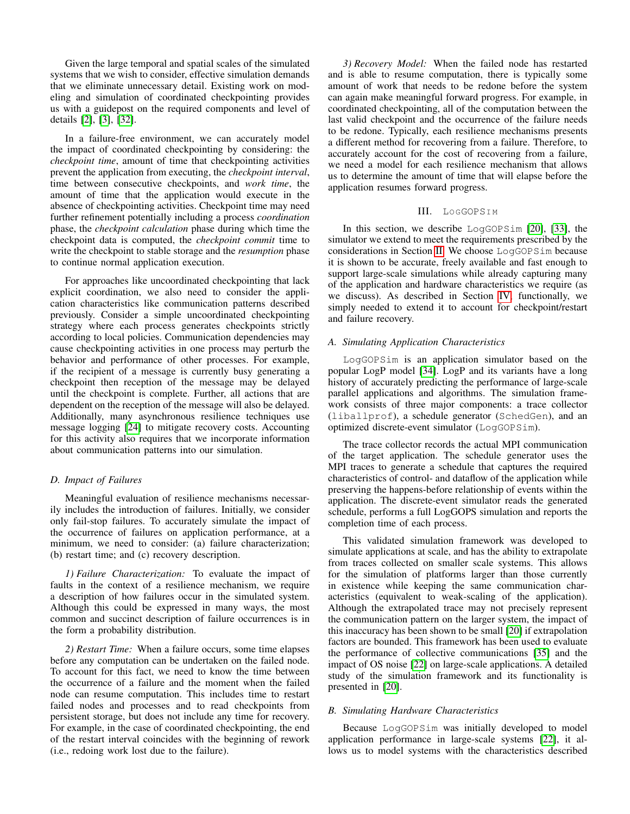Given the large temporal and spatial scales of the simulated systems that we wish to consider, effective simulation demands that we eliminate unnecessary detail. Existing work on modeling and simulation of coordinated checkpointing provides us with a guidepost on the required components and level of details [\[2\]](#page-8-1), [\[3\]](#page-8-2), [\[32\]](#page-9-19).

In a failure-free environment, we can accurately model the impact of coordinated checkpointing by considering: the *checkpoint time*, amount of time that checkpointing activities prevent the application from executing, the *checkpoint interval*, time between consecutive checkpoints, and *work time*, the amount of time that the application would execute in the absence of checkpointing activities. Checkpoint time may need further refinement potentially including a process *coordination* phase, the *checkpoint calculation* phase during which time the checkpoint data is computed, the *checkpoint commit* time to write the checkpoint to stable storage and the *resumption* phase to continue normal application execution.

For approaches like uncoordinated checkpointing that lack explicit coordination, we also need to consider the application characteristics like communication patterns described previously. Consider a simple uncoordinated checkpointing strategy where each process generates checkpoints strictly according to local policies. Communication dependencies may cause checkpointing activities in one process may perturb the behavior and performance of other processes. For example, if the recipient of a message is currently busy generating a checkpoint then reception of the message may be delayed until the checkpoint is complete. Further, all actions that are dependent on the reception of the message will also be delayed. Additionally, many asynchronous resilience techniques use message logging [\[24\]](#page-9-11) to mitigate recovery costs. Accounting for this activity also requires that we incorporate information about communication patterns into our simulation.

#### *D. Impact of Failures*

Meaningful evaluation of resilience mechanisms necessarily includes the introduction of failures. Initially, we consider only fail-stop failures. To accurately simulate the impact of the occurrence of failures on application performance, at a minimum, we need to consider: (a) failure characterization; (b) restart time; and (c) recovery description.

*1) Failure Characterization:* To evaluate the impact of faults in the context of a resilience mechanism, we require a description of how failures occur in the simulated system. Although this could be expressed in many ways, the most common and succinct description of failure occurrences is in the form a probability distribution.

*2) Restart Time:* When a failure occurs, some time elapses before any computation can be undertaken on the failed node. To account for this fact, we need to know the time between the occurrence of a failure and the moment when the failed node can resume computation. This includes time to restart failed nodes and processes and to read checkpoints from persistent storage, but does not include any time for recovery. For example, in the case of coordinated checkpointing, the end of the restart interval coincides with the beginning of rework (i.e., redoing work lost due to the failure).

*3) Recovery Model:* When the failed node has restarted and is able to resume computation, there is typically some amount of work that needs to be redone before the system can again make meaningful forward progress. For example, in coordinated checkpointing, all of the computation between the last valid checkpoint and the occurrence of the failure needs to be redone. Typically, each resilience mechanisms presents a different method for recovering from a failure. Therefore, to accurately account for the cost of recovering from a failure, we need a model for each resilience mechanism that allows us to determine the amount of time that will elapse before the application resumes forward progress.

#### III. LOGGOPSIM

<span id="page-2-0"></span>In this section, we describe LogGOPSim [\[20\]](#page-9-7), [\[33\]](#page-9-20), the simulator we extend to meet the requirements prescribed by the considerations in Section [II.](#page-1-0) We choose LogGOPSim because it is shown to be accurate, freely available and fast enough to support large-scale simulations while already capturing many of the application and hardware characteristics we require (as we discuss). As described in Section [IV,](#page-3-0) functionally, we simply needed to extend it to account for checkpoint/restart and failure recovery.

#### *A. Simulating Application Characteristics*

LogGOPSim is an application simulator based on the popular LogP model [\[34\]](#page-9-21). LogP and its variants have a long history of accurately predicting the performance of large-scale parallel applications and algorithms. The simulation framework consists of three major components: a trace collector (liballprof), a schedule generator (SchedGen), and an optimized discrete-event simulator (LogGOPSim).

The trace collector records the actual MPI communication of the target application. The schedule generator uses the MPI traces to generate a schedule that captures the required characteristics of control- and dataflow of the application while preserving the happens-before relationship of events within the application. The discrete-event simulator reads the generated schedule, performs a full LogGOPS simulation and reports the completion time of each process.

This validated simulation framework was developed to simulate applications at scale, and has the ability to extrapolate from traces collected on smaller scale systems. This allows for the simulation of platforms larger than those currently in existence while keeping the same communication characteristics (equivalent to weak-scaling of the application). Although the extrapolated trace may not precisely represent the communication pattern on the larger system, the impact of this inaccuracy has been shown to be small [\[20\]](#page-9-7) if extrapolation factors are bounded. This framework has been used to evaluate the performance of collective communications [\[35\]](#page-9-22) and the impact of OS noise [\[22\]](#page-9-9) on large-scale applications. A detailed study of the simulation framework and its functionality is presented in [\[20\]](#page-9-7).

#### *B. Simulating Hardware Characteristics*

Because LogGOPSim was initially developed to model application performance in large-scale systems [\[22\]](#page-9-9), it allows us to model systems with the characteristics described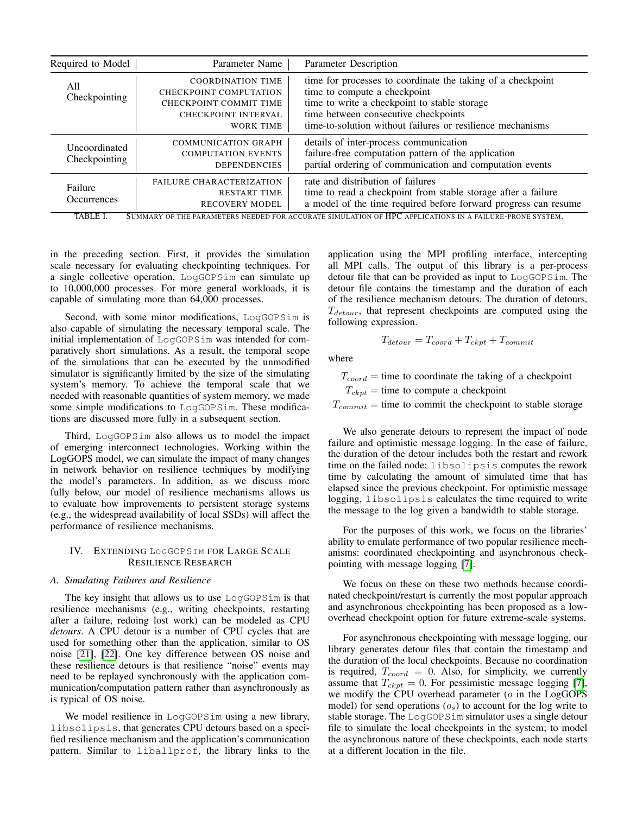| Required to Model                                                                                                         | Parameter Name                                                                                                          | Parameter Description                                                                                                                                                                                                                             |
|---------------------------------------------------------------------------------------------------------------------------|-------------------------------------------------------------------------------------------------------------------------|---------------------------------------------------------------------------------------------------------------------------------------------------------------------------------------------------------------------------------------------------|
| All<br>Checkpointing                                                                                                      | <b>COORDINATION TIME</b><br>CHECKPOINT COMPUTATION<br>CHECKPOINT COMMIT TIME<br>CHECKPOINT INTERVAL<br><b>WORK TIME</b> | time for processes to coordinate the taking of a checkpoint<br>time to compute a checkpoint<br>time to write a checkpoint to stable storage<br>time between consecutive checkpoints<br>time-to-solution without failures or resilience mechanisms |
| Uncoordinated<br><b>Checkpointing</b>                                                                                     | <b>COMMUNICATION GRAPH</b><br><b>COMPUTATION EVENTS</b><br><b>DEPENDENCIES</b>                                          | details of inter-process communication<br>failure-free computation pattern of the application<br>partial ordering of communication and computation events                                                                                         |
| Failure<br><b>Occurrences</b>                                                                                             | <b>FAILURE CHARACTERIZATION</b><br><b>RESTART TIME</b><br><b>RECOVERY MODEL</b>                                         | rate and distribution of failures<br>time to read a checkpoint from stable storage after a failure<br>a model of the time required before forward progress can resume                                                                             |
| SUMMARY OF THE PARAMETERS NEEDED FOR ACCURATE SIMULATION OF HPC APPLICATIONS IN A FAILURE-PRONE SYSTEM.<br><b>TABLE I</b> |                                                                                                                         |                                                                                                                                                                                                                                                   |

in the preceding section. First, it provides the simulation scale necessary for evaluating checkpointing techniques. For a single collective operation, LogGOPSim can simulate up to 10,000,000 processes. For more general workloads, it is capable of simulating more than 64,000 processes.

Second, with some minor modifications, LogGOPSim is also capable of simulating the necessary temporal scale. The initial implementation of LogGOPSim was intended for comparatively short simulations. As a result, the temporal scope of the simulations that can be executed by the unmodified simulator is significantly limited by the size of the simulating system's memory. To achieve the temporal scale that we needed with reasonable quantities of system memory, we made some simple modifications to LogGOPSim. These modifications are discussed more fully in a subsequent section.

Third, LogGOPSim also allows us to model the impact of emerging interconnect technologies. Working within the LogGOPS model, we can simulate the impact of many changes in network behavior on resilience techniques by modifying the model's parameters. In addition, as we discuss more fully below, our model of resilience mechanisms allows us to evaluate how improvements to persistent storage systems (e.g., the widespread availability of local SSDs) will affect the performance of resilience mechanisms.

## <span id="page-3-0"></span>IV. EXTENDING LOGGOPSIM FOR LARGE SCALE RESILIENCE RESEARCH

#### *A. Simulating Failures and Resilience*

The key insight that allows us to use LogGOPSim is that resilience mechanisms (e.g., writing checkpoints, restarting after a failure, redoing lost work) can be modeled as CPU *detours*. A CPU detour is a number of CPU cycles that are used for something other than the application, similar to OS noise [\[21\]](#page-9-8), [\[22\]](#page-9-9). One key difference between OS noise and these resilience detours is that resilience "noise" events may need to be replayed synchronously with the application communication/computation pattern rather than asynchronously as is typical of OS noise.

We model resilience in LogGOPSim using a new library, libsolipsis, that generates CPU detours based on a specified resilience mechanism and the application's communication pattern. Similar to liballprof, the library links to the application using the MPI profiling interface, intercepting all MPI calls. The output of this library is a per-process detour file that can be provided as input to LogGOPSim. The detour file contains the timestamp and the duration of each of the resilience mechanism detours. The duration of detours,  $T_{detour}$ , that represent checkpoints are computed using the following expression.

$$
T_{detour} = T_{coord} + T_{ckpt} + T_{commit}
$$

where

 $T_{coord}$  = time to coordinate the taking of a checkpoint  $T_{ckpt}$  = time to compute a checkpoint

 $T_{commit}$  = time to commit the checkpoint to stable storage

We also generate detours to represent the impact of node failure and optimistic message logging. In the case of failure, the duration of the detour includes both the restart and rework time on the failed node; libsolipsis computes the rework time by calculating the amount of simulated time that has elapsed since the previous checkpoint. For optimistic message logging, libsolipsis calculates the time required to write the message to the log given a bandwidth to stable storage.

For the purposes of this work, we focus on the libraries' ability to emulate performance of two popular resilience mechanisms: coordinated checkpointing and asynchronous checkpointing with message logging [\[7\]](#page-9-0).

We focus on these on these two methods because coordinated checkpoint/restart is currently the most popular approach and asynchronous checkpointing has been proposed as a lowoverhead checkpoint option for future extreme-scale systems.

For asynchronous checkpointing with message logging, our library generates detour files that contain the timestamp and the duration of the local checkpoints. Because no coordination is required,  $T_{coord} = 0$ . Also, for simplicity, we currently assume that  $T_{cknt} = 0$ . For pessimistic message logging [\[7\]](#page-9-0), we modify the CPU overhead parameter ( $o$  in the LogGOPS model) for send operations  $(o_s)$  to account for the log write to stable storage. The LogGOPSim simulator uses a single detour file to simulate the local checkpoints in the system; to model the asynchronous nature of these checkpoints, each node starts at a different location in the file.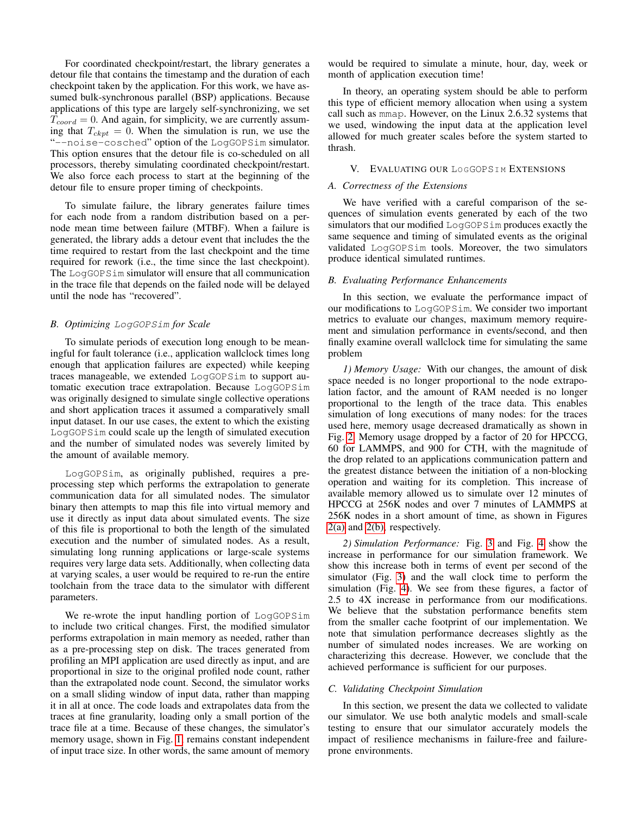For coordinated checkpoint/restart, the library generates a detour file that contains the timestamp and the duration of each checkpoint taken by the application. For this work, we have assumed bulk-synchronous parallel (BSP) applications. Because applications of this type are largely self-synchronizing, we set  $T_{coord} = 0$ . And again, for simplicity, we are currently assuming that  $T_{ckpt} = 0$ . When the simulation is run, we use the "--noise-cosched" option of the LogGOPSim simulator. This option ensures that the detour file is co-scheduled on all processors, thereby simulating coordinated checkpoint/restart. We also force each process to start at the beginning of the detour file to ensure proper timing of checkpoints.

To simulate failure, the library generates failure times for each node from a random distribution based on a pernode mean time between failure (MTBF). When a failure is generated, the library adds a detour event that includes the the time required to restart from the last checkpoint and the time required for rework (i.e., the time since the last checkpoint). The LogGOPSim simulator will ensure that all communication in the trace file that depends on the failed node will be delayed until the node has "recovered".

#### *B. Optimizing* LogGOPSim *for Scale*

To simulate periods of execution long enough to be meaningful for fault tolerance (i.e., application wallclock times long enough that application failures are expected) while keeping traces manageable, we extended LogGOPSim to support automatic execution trace extrapolation. Because LogGOPSim was originally designed to simulate single collective operations and short application traces it assumed a comparatively small input dataset. In our use cases, the extent to which the existing LogGOPSim could scale up the length of simulated execution and the number of simulated nodes was severely limited by the amount of available memory.

LogGOPSim, as originally published, requires a preprocessing step which performs the extrapolation to generate communication data for all simulated nodes. The simulator binary then attempts to map this file into virtual memory and use it directly as input data about simulated events. The size of this file is proportional to both the length of the simulated execution and the number of simulated nodes. As a result, simulating long running applications or large-scale systems requires very large data sets. Additionally, when collecting data at varying scales, a user would be required to re-run the entire toolchain from the trace data to the simulator with different parameters.

We re-wrote the input handling portion of LogGOPSim to include two critical changes. First, the modified simulator performs extrapolation in main memory as needed, rather than as a pre-processing step on disk. The traces generated from profiling an MPI application are used directly as input, and are proportional in size to the original profiled node count, rather than the extrapolated node count. Second, the simulator works on a small sliding window of input data, rather than mapping it in all at once. The code loads and extrapolates data from the traces at fine granularity, loading only a small portion of the trace file at a time. Because of these changes, the simulator's memory usage, shown in Fig. [1,](#page-5-0) remains constant independent of input trace size. In other words, the same amount of memory

would be required to simulate a minute, hour, day, week or month of application execution time!

In theory, an operating system should be able to perform this type of efficient memory allocation when using a system call such as mmap. However, on the Linux 2.6.32 systems that we used, windowing the input data at the application level allowed for much greater scales before the system started to thrash.

## <span id="page-4-0"></span>V. EVALUATING OUR LOGGOPSIM EXTENSIONS

#### *A. Correctness of the Extensions*

We have verified with a careful comparison of the sequences of simulation events generated by each of the two simulators that our modified LogGOPSim produces exactly the same sequence and timing of simulated events as the original validated LogGOPSim tools. Moreover, the two simulators produce identical simulated runtimes.

## *B. Evaluating Performance Enhancements*

In this section, we evaluate the performance impact of our modifications to LogGOPSim. We consider two important metrics to evaluate our changes, maximum memory requirement and simulation performance in events/second, and then finally examine overall wallclock time for simulating the same problem

*1) Memory Usage:* With our changes, the amount of disk space needed is no longer proportional to the node extrapolation factor, and the amount of RAM needed is no longer proportional to the length of the trace data. This enables simulation of long executions of many nodes: for the traces used here, memory usage decreased dramatically as shown in Fig. [2.](#page-5-1) Memory usage dropped by a factor of 20 for HPCCG, 60 for LAMMPS, and 900 for CTH, with the magnitude of the drop related to an applications communication pattern and the greatest distance between the initiation of a non-blocking operation and waiting for its completion. This increase of available memory allowed us to simulate over 12 minutes of HPCCG at 256K nodes and over 7 minutes of LAMMPS at 256K nodes in a short amount of time, as shown in Figures [2\(a\)](#page-5-2) and [2\(b\),](#page-5-3) respectively.

*2) Simulation Performance:* Fig. [3](#page-6-0) and Fig. [4](#page-6-1) show the increase in performance for our simulation framework. We show this increase both in terms of event per second of the simulator (Fig. [3\)](#page-6-0) and the wall clock time to perform the simulation (Fig. [4\)](#page-6-1). We see from these figures, a factor of 2.5 to 4X increase in performance from our modifications. We believe that the substation performance benefits stem from the smaller cache footprint of our implementation. We note that simulation performance decreases slightly as the number of simulated nodes increases. We are working on characterizing this decrease. However, we conclude that the achieved performance is sufficient for our purposes.

#### *C. Validating Checkpoint Simulation*

In this section, we present the data we collected to validate our simulator. We use both analytic models and small-scale testing to ensure that our simulator accurately models the impact of resilience mechanisms in failure-free and failureprone environments.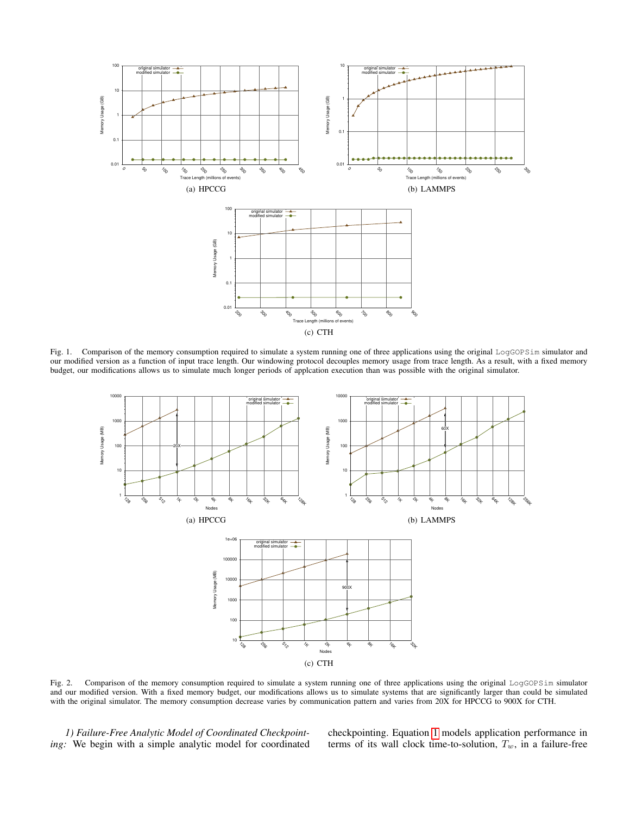

<span id="page-5-0"></span>Fig. 1. Comparison of the memory consumption required to simulate a system running one of three applications using the original LogGOPSim simulator and our modified version as a function of input trace length. Our windowing protocol decouples memory usage from trace length. As a result, with a fixed memory budget, our modifications allows us to simulate much longer periods of applcation execution than was possible with the original simulator.

<span id="page-5-2"></span>

<span id="page-5-1"></span>Fig. 2. Comparison of the memory consumption required to simulate a system running one of three applications using the original LogGOPSim simulator and our modified version. With a fixed memory budget, our modifications allows us to simulate systems that are significantly larger than could be simulated with the original simulator. The memory consumption decrease varies by communication pattern and varies from 20X for HPCCG to 900X for CTH.

*1) Failure-Free Analytic Model of Coordinated Checkpointing:* We begin with a simple analytic model for coordinated <span id="page-5-3"></span>checkpointing. Equation [1](#page-6-2) models application performance in terms of its wall clock time-to-solution,  $T_w$ , in a failure-free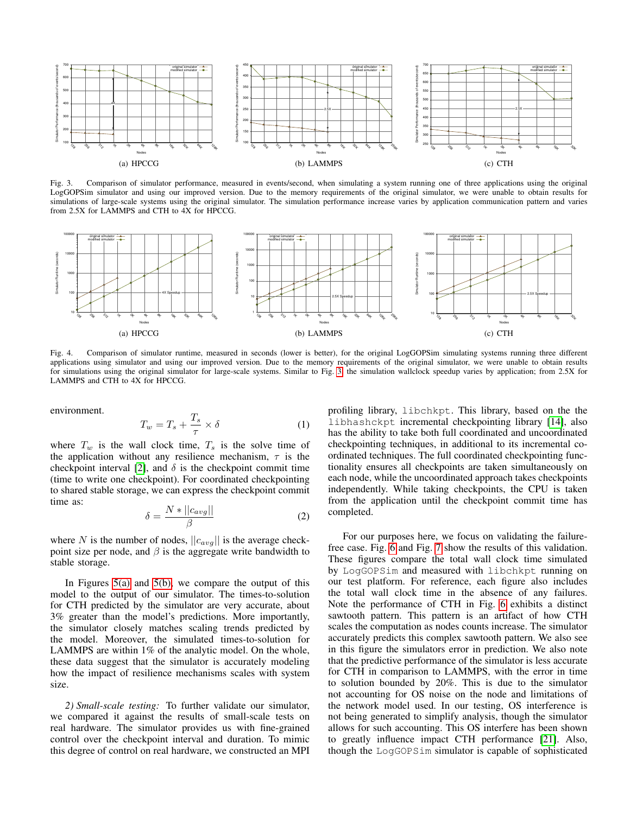

<span id="page-6-0"></span>Fig. 3. Comparison of simulator performance, measured in events/second, when simulating a system running one of three applications using the original LogGOPSim simulator and using our improved version. Due to the memory requirements of the original simulator, we were unable to obtain results for simulations of large-scale systems using the original simulator. The simulation performance increase varies by application communication pattern and varies from 2.5X for LAMMPS and CTH to 4X for HPCCG.



<span id="page-6-1"></span>Fig. 4. Comparison of simulator runtime, measured in seconds (lower is better), for the original LogGOPSim simulating systems running three different applications using simulator and using our improved version. Due to the memory requirements of the original simulator, we were unable to obtain results for simulations using the original simulator for large-scale systems. Similar to Fig. [3,](#page-6-0) the simulation wallclock speedup varies by application; from 2.5X for LAMMPS and CTH to 4X for HPCCG.

environment.

<span id="page-6-2"></span>
$$
T_w = T_s + \frac{T_s}{\tau} \times \delta \tag{1}
$$

where  $T_w$  is the wall clock time,  $T_s$  is the solve time of the application without any resilience mechanism,  $\tau$  is the checkpoint interval [\[2\]](#page-8-1), and  $\delta$  is the checkpoint commit time (time to write one checkpoint). For coordinated checkpointing to shared stable storage, we can express the checkpoint commit time as:

$$
\delta = \frac{N * ||c_{avg}||}{\beta} \tag{2}
$$

where N is the number of nodes,  $||c_{avg}||$  is the average checkpoint size per node, and  $\beta$  is the aggregate write bandwidth to stable storage.

In Figures  $5(a)$  and  $5(b)$ , we compare the output of this model to the output of our simulator. The times-to-solution for CTH predicted by the simulator are very accurate, about 3% greater than the model's predictions. More importantly, the simulator closely matches scaling trends predicted by the model. Moreover, the simulated times-to-solution for LAMMPS are within 1% of the analytic model. On the whole, these data suggest that the simulator is accurately modeling how the impact of resilience mechanisms scales with system size.

*2) Small-scale testing:* To further validate our simulator, we compared it against the results of small-scale tests on real hardware. The simulator provides us with fine-grained control over the checkpoint interval and duration. To mimic this degree of control on real hardware, we constructed an MPI

profiling library, libchkpt. This library, based on the the libhashckpt incremental checkpointing library [\[14\]](#page-9-16), also has the ability to take both full coordinated and uncoordinated checkpointing techniques, in additional to its incremental coordinated techniques. The full coordinated checkpointing functionality ensures all checkpoints are taken simultaneously on each node, while the uncoordinated approach takes checkpoints independently. While taking checkpoints, the CPU is taken from the application until the checkpoint commit time has completed.

For our purposes here, we focus on validating the failurefree case. Fig. [6](#page-7-3) and Fig. [7](#page-8-7) show the results of this validation. These figures compare the total wall clock time simulated by LogGOPSim and measured with libchkpt running on our test platform. For reference, each figure also includes the total wall clock time in the absence of any failures. Note the performance of CTH in Fig. [6](#page-7-3) exhibits a distinct sawtooth pattern. This pattern is an artifact of how CTH scales the computation as nodes counts increase. The simulator accurately predicts this complex sawtooth pattern. We also see in this figure the simulators error in prediction. We also note that the predictive performance of the simulator is less accurate for CTH in comparison to LAMMPS, with the error in time to solution bounded by 20%. This is due to the simulator not accounting for OS noise on the node and limitations of the network model used. In our testing, OS interference is not being generated to simplify analysis, though the simulator allows for such accounting. This OS interfere has been shown to greatly influence impact CTH performance [\[21\]](#page-9-8). Also, though the LogGOPSim simulator is capable of sophisticated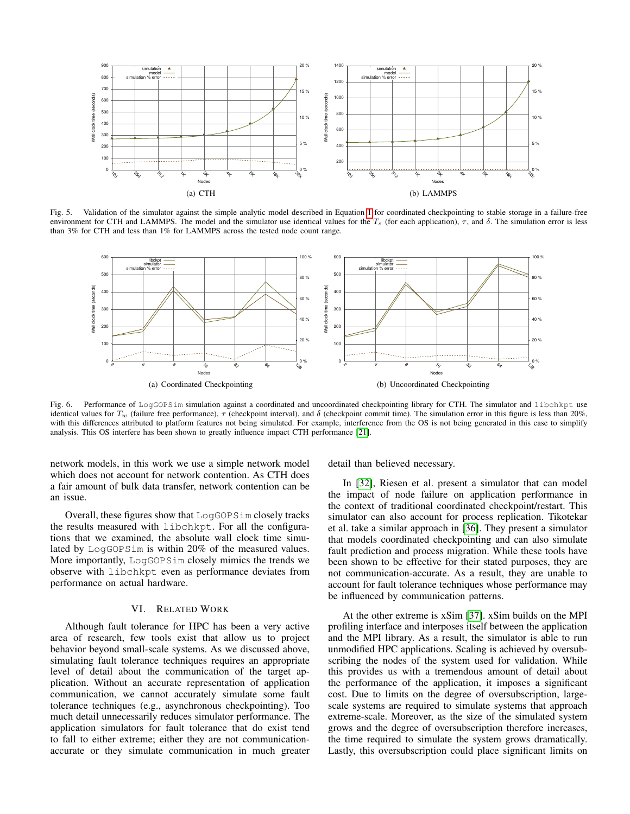<span id="page-7-1"></span>

Fig. 5. Validation of the simulator against the simple analytic model described in Equation [1](#page-6-2) for coordinated checkpointing to stable storage in a failure-free environment for CTH and LAMMPS. The model and the simulator use identical values for the  $T_s$  (for each application),  $\tau$ , and  $\delta$ . The simulation error is less than 3% for CTH and less than 1% for LAMMPS across the tested node count range.

<span id="page-7-2"></span>

<span id="page-7-3"></span>Fig. 6. Performance of LogGOPSim simulation against a coordinated and uncoordinated checkpointing library for CTH. The simulator and libchkpt use identical values for  $T_w$  (failure free performance),  $\tau$  (checkpoint interval), and  $\delta$  (checkpoint commit time). The simulation error in this figure is less than 20%, with this differences attributed to platform features not being simulated. For example, interference from the OS is not being generated in this case to simplify analysis. This OS interfere has been shown to greatly influence impact CTH performance [\[21\]](#page-9-8).

network models, in this work we use a simple network model which does not account for network contention. As CTH does a fair amount of bulk data transfer, network contention can be an issue.

Overall, these figures show that LogGOPSim closely tracks the results measured with libchkpt. For all the configurations that we examined, the absolute wall clock time simulated by LogGOPSim is within 20% of the measured values. More importantly, LogGOPSim closely mimics the trends we observe with libchkpt even as performance deviates from performance on actual hardware.

#### VI. RELATED WORK

<span id="page-7-0"></span>Although fault tolerance for HPC has been a very active area of research, few tools exist that allow us to project behavior beyond small-scale systems. As we discussed above, simulating fault tolerance techniques requires an appropriate level of detail about the communication of the target application. Without an accurate representation of application communication, we cannot accurately simulate some fault tolerance techniques (e.g., asynchronous checkpointing). Too much detail unnecessarily reduces simulator performance. The application simulators for fault tolerance that do exist tend to fall to either extreme; either they are not communicationaccurate or they simulate communication in much greater

detail than believed necessary.

In [\[32\]](#page-9-19), Riesen et al. present a simulator that can model the impact of node failure on application performance in the context of traditional coordinated checkpoint/restart. This simulator can also account for process replication. Tikotekar et al. take a similar approach in [\[36\]](#page-9-23). They present a simulator that models coordinated checkpointing and can also simulate fault prediction and process migration. While these tools have been shown to be effective for their stated purposes, they are not communication-accurate. As a result, they are unable to account for fault tolerance techniques whose performance may be influenced by communication patterns.

At the other extreme is xSim [\[37\]](#page-9-24). xSim builds on the MPI profiling interface and interposes itself between the application and the MPI library. As a result, the simulator is able to run unmodified HPC applications. Scaling is achieved by oversubscribing the nodes of the system used for validation. While this provides us with a tremendous amount of detail about the performance of the application, it imposes a significant cost. Due to limits on the degree of oversubscription, largescale systems are required to simulate systems that approach extreme-scale. Moreover, as the size of the simulated system grows and the degree of oversubscription therefore increases, the time required to simulate the system grows dramatically. Lastly, this oversubscription could place significant limits on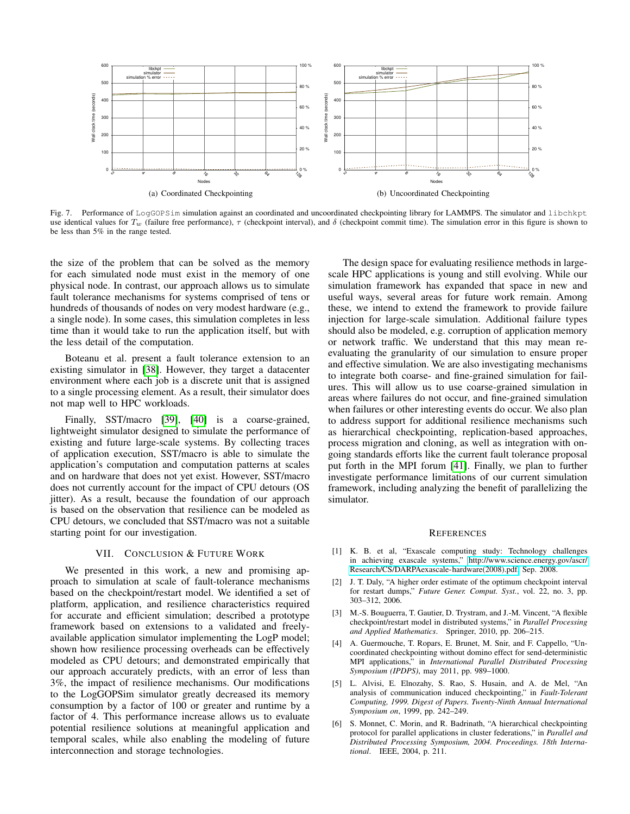

<span id="page-8-7"></span>Fig. 7. Performance of LogGOPSim simulation against an coordinated and uncoordinated checkpointing library for LAMMPS. The simulator and libchkpt use identical values for  $T_w$  (failure free performance),  $\tau$  (checkpoint interval), and  $\delta$  (checkpoint commit time). The simulation error in this figure is shown to be less than 5% in the range tested.

the size of the problem that can be solved as the memory for each simulated node must exist in the memory of one physical node. In contrast, our approach allows us to simulate fault tolerance mechanisms for systems comprised of tens or hundreds of thousands of nodes on very modest hardware (e.g., a single node). In some cases, this simulation completes in less time than it would take to run the application itself, but with the less detail of the computation.

Boteanu et al. present a fault tolerance extension to an existing simulator in [\[38\]](#page-9-25). However, they target a datacenter environment where each job is a discrete unit that is assigned to a single processing element. As a result, their simulator does not map well to HPC workloads.

Finally, SST/macro [\[39\]](#page-9-26), [\[40\]](#page-9-27) is a coarse-grained, lightweight simulator designed to simulate the performance of existing and future large-scale systems. By collecting traces of application execution, SST/macro is able to simulate the application's computation and computation patterns at scales and on hardware that does not yet exist. However, SST/macro does not currently account for the impact of CPU detours (OS jitter). As a result, because the foundation of our approach is based on the observation that resilience can be modeled as CPU detours, we concluded that SST/macro was not a suitable starting point for our investigation.

## VII. CONCLUSION & FUTURE WORK

<span id="page-8-6"></span>We presented in this work, a new and promising approach to simulation at scale of fault-tolerance mechanisms based on the checkpoint/restart model. We identified a set of platform, application, and resilience characteristics required for accurate and efficient simulation; described a prototype framework based on extensions to a validated and freelyavailable application simulator implementing the LogP model; shown how resilience processing overheads can be effectively modeled as CPU detours; and demonstrated empirically that our approach accurately predicts, with an error of less than 3%, the impact of resilience mechanisms. Our modifications to the LogGOPSim simulator greatly decreased its memory consumption by a factor of 100 or greater and runtime by a factor of 4. This performance increase allows us to evaluate potential resilience solutions at meaningful application and temporal scales, while also enabling the modeling of future interconnection and storage technologies.

The design space for evaluating resilience methods in largescale HPC applications is young and still evolving. While our simulation framework has expanded that space in new and useful ways, several areas for future work remain. Among these, we intend to extend the framework to provide failure injection for large-scale simulation. Additional failure types should also be modeled, e.g. corruption of application memory or network traffic. We understand that this may mean reevaluating the granularity of our simulation to ensure proper and effective simulation. We are also investigating mechanisms to integrate both coarse- and fine-grained simulation for failures. This will allow us to use coarse-grained simulation in areas where failures do not occur, and fine-grained simulation when failures or other interesting events do occur. We also plan to address support for additional resilience mechanisms such as hierarchical checkpointing, replication-based approaches, process migration and cloning, as well as integration with ongoing standards efforts like the current fault tolerance proposal put forth in the MPI forum [\[41\]](#page-9-28). Finally, we plan to further investigate performance limitations of our current simulation framework, including analyzing the benefit of parallelizing the simulator.

#### **REFERENCES**

- <span id="page-8-0"></span>[1] K. B. et al, "Exascale computing study: Technology challenges in achieving exascale systems," [http://www.science.energy.gov/ascr/](http://www.science.energy.gov/ascr/Research/CS/DARPA exascale - hardware (2008).pdf) [Research/CS/DARPAexascale-hardware\(2008\).pdf,](http://www.science.energy.gov/ascr/Research/CS/DARPA exascale - hardware (2008).pdf) Sep. 2008.
- <span id="page-8-1"></span>[2] J. T. Daly, "A higher order estimate of the optimum checkpoint interval for restart dumps," *Future Gener. Comput. Syst.*, vol. 22, no. 3, pp. 303–312, 2006.
- <span id="page-8-2"></span>[3] M.-S. Bouguerra, T. Gautier, D. Trystram, and J.-M. Vincent, "A flexible checkpoint/restart model in distributed systems," in *Parallel Processing and Applied Mathematics*. Springer, 2010, pp. 206–215.
- <span id="page-8-3"></span>[4] A. Guermouche, T. Ropars, E. Brunet, M. Snir, and F. Cappello, "Uncoordinated checkpointing without domino effect for send-deterministic MPI applications," in *International Parallel Distributed Processing Symposium (IPDPS)*, may 2011, pp. 989–1000.
- <span id="page-8-4"></span>[5] L. Alvisi, E. Elnozahy, S. Rao, S. Husain, and A. de Mel, "An analysis of communication induced checkpointing," in *Fault-Tolerant Computing, 1999. Digest of Papers. Twenty-Ninth Annual International Symposium on*, 1999, pp. 242–249.
- <span id="page-8-5"></span>[6] S. Monnet, C. Morin, and R. Badrinath, "A hierarchical checkpointing protocol for parallel applications in cluster federations," in *Parallel and Distributed Processing Symposium, 2004. Proceedings. 18th International*. IEEE, 2004, p. 211.